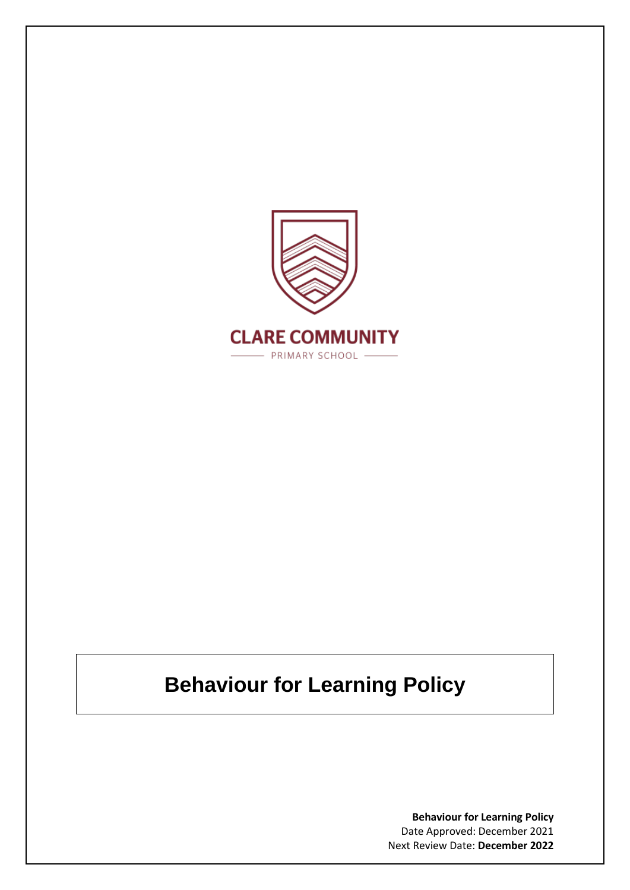

# **Behaviour for Learning Policy**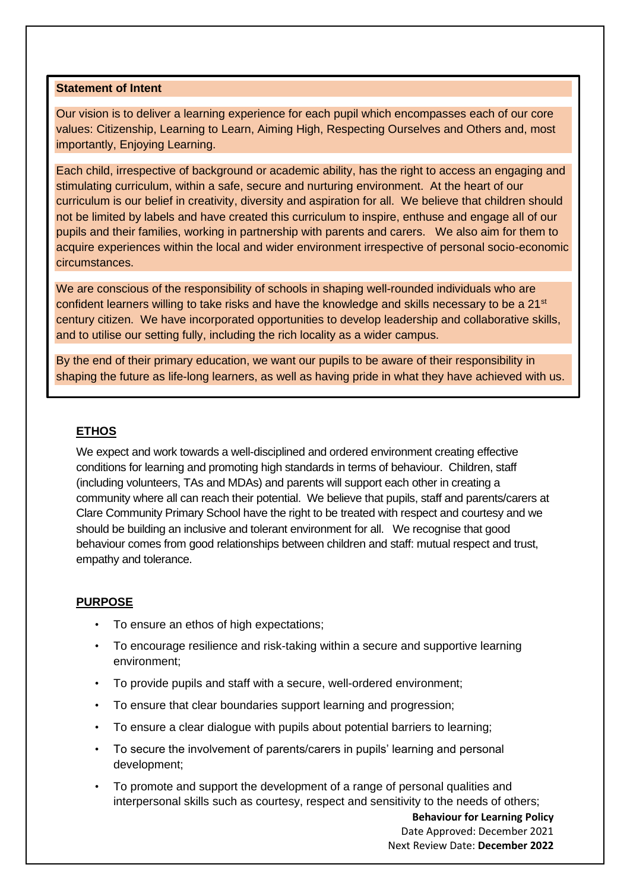#### **Statement of Intent**

Our vision is to deliver a learning experience for each pupil which encompasses each of our core values: Citizenship, Learning to Learn, Aiming High, Respecting Ourselves and Others and, most importantly, Enjoying Learning.

Each child, irrespective of background or academic ability, has the right to access an engaging and stimulating curriculum, within a safe, secure and nurturing environment. At the heart of our curriculum is our belief in creativity, diversity and aspiration for all. We believe that children should not be limited by labels and have created this curriculum to inspire, enthuse and engage all of our pupils and their families, working in partnership with parents and carers. We also aim for them to acquire experiences within the local and wider environment irrespective of personal socio-economic circumstances.

We are conscious of the responsibility of schools in shaping well-rounded individuals who are confident learners willing to take risks and have the knowledge and skills necessary to be a 21<sup>st</sup> century citizen. We have incorporated opportunities to develop leadership and collaborative skills, and to utilise our setting fully, including the rich locality as a wider campus.

By the end of their primary education, we want our pupils to be aware of their responsibility in shaping the future as life-long learners, as well as having pride in what they have achieved with us.

#### **ETHOS**

We expect and work towards a well-disciplined and ordered environment creating effective conditions for learning and promoting high standards in terms of behaviour. Children, staff (including volunteers, TAs and MDAs) and parents will support each other in creating a community where all can reach their potential. We believe that pupils, staff and parents/carers at Clare Community Primary School have the right to be treated with respect and courtesy and we should be building an inclusive and tolerant environment for all. We recognise that good behaviour comes from good relationships between children and staff: mutual respect and trust, empathy and tolerance.

#### **PURPOSE**

- To ensure an ethos of high expectations;
- To encourage resilience and risk-taking within a secure and supportive learning environment;
- To provide pupils and staff with a secure, well-ordered environment;
- To ensure that clear boundaries support learning and progression;
- To ensure a clear dialogue with pupils about potential barriers to learning;
- To secure the involvement of parents/carers in pupils' learning and personal development;
- To promote and support the development of a range of personal qualities and interpersonal skills such as courtesy, respect and sensitivity to the needs of others;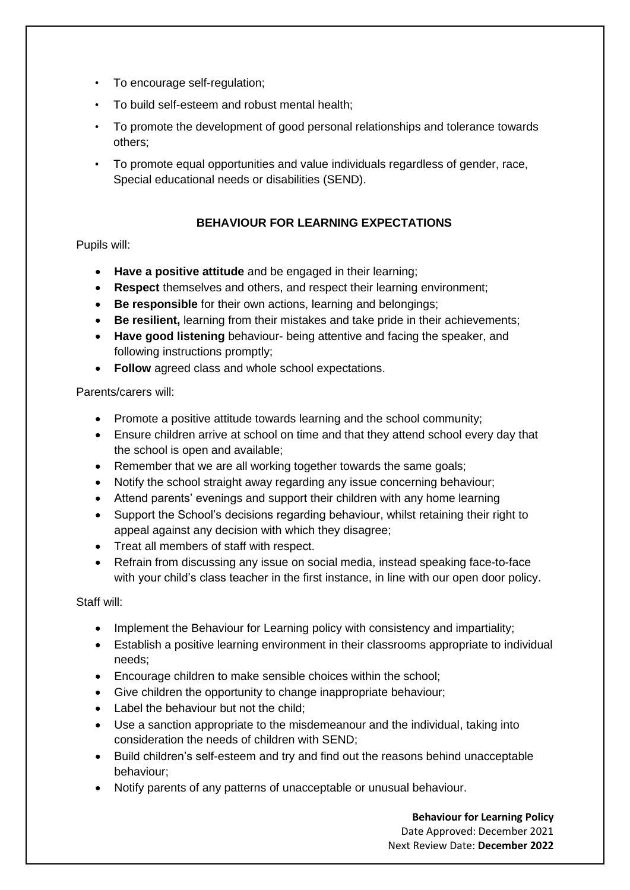- To encourage self-regulation;
- To build self-esteem and robust mental health;
- To promote the development of good personal relationships and tolerance towards others;
- To promote equal opportunities and value individuals regardless of gender, race, Special educational needs or disabilities (SEND).

#### **BEHAVIOUR FOR LEARNING EXPECTATIONS**

#### Pupils will:

- **Have a positive attitude** and be engaged in their learning;
- **Respect** themselves and others, and respect their learning environment;
- **Be responsible** for their own actions, learning and belongings;
- **Be resilient,** learning from their mistakes and take pride in their achievements;
- **Have good listening** behaviour- being attentive and facing the speaker, and following instructions promptly;
- **Follow** agreed class and whole school expectations.

#### Parents/carers will:

- Promote a positive attitude towards learning and the school community;
- Ensure children arrive at school on time and that they attend school every day that the school is open and available;
- Remember that we are all working together towards the same goals;
- Notify the school straight away regarding any issue concerning behaviour;
- Attend parents' evenings and support their children with any home learning
- Support the School's decisions regarding behaviour, whilst retaining their right to appeal against any decision with which they disagree;
- Treat all members of staff with respect.
- Refrain from discussing any issue on social media, instead speaking face-to-face with your child's class teacher in the first instance, in line with our open door policy.

Staff will:

- Implement the Behaviour for Learning policy with consistency and impartiality;
- Establish a positive learning environment in their classrooms appropriate to individual needs;
- Encourage children to make sensible choices within the school;
- Give children the opportunity to change inappropriate behaviour;
- Label the behaviour but not the child;
- Use a sanction appropriate to the misdemeanour and the individual, taking into consideration the needs of children with SEND;
- Build children's self-esteem and try and find out the reasons behind unacceptable behaviour;
- Notify parents of any patterns of unacceptable or unusual behaviour.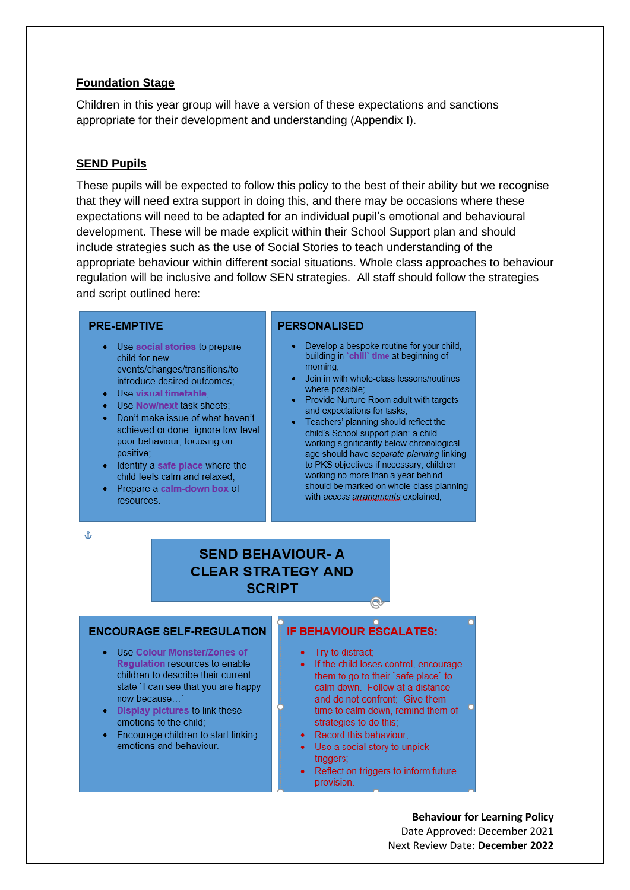#### **Foundation Stage**

Children in this year group will have a version of these expectations and sanctions appropriate for their development and understanding (Appendix I).

#### **SEND Pupils**

These pupils will be expected to follow this policy to the best of their ability but we recognise that they will need extra support in doing this, and there may be occasions where these expectations will need to be adapted for an individual pupil's emotional and behavioural development. These will be made explicit within their School Support plan and should include strategies such as the use of Social Stories to teach understanding of the appropriate behaviour within different social situations. Whole class approaches to behaviour regulation will be inclusive and follow SEN strategies. All staff should follow the strategies and script outlined here:

#### **PRE-EMPTIVE**

- Use social stories to prepare child for new events/changes/transitions/to introduce desired outcomes:
- Use visual timetable
- Use Now/next task sheets:
- Don't make issue of what haven't achieved or done- ignore low-level poor behaviour, focusing on
- positive; • Identify a safe place where the child feels calm and relaxed;
- Prepare a calm-down box of resources.

#### **PERSONALISED**

- Develop a bespoke routine for your child, building in 'chill' time at beginning of morning:
- Join in with whole-class lessons/routines where possible:
- Provide Nurture Room adult with targets and expectations for tasks:
- Teachers' planning should reflect the child's School support plan: a child working significantly below chronological age should have separate planning linking to PKS objectives if necessary; children working no more than a year behind should be marked on whole-class planning with access arrangments explained:

Å

# **SEND BEHAVIOUR-A CLEAR STRATEGY AND SCRIPT**

#### **ENCOURAGE SELF-REGULATION**

- Use Colour Monster/Zones of Regulation resources to enable children to describe their current state 'I can see that you are happy now because...
- Display pictures to link these emotions to the child;
- Encourage children to start linking emotions and behaviour.

#### **IF BEHAVIOUR ESCALATES:**

- Try to distract;
- If the child loses control, encourage them to go to their 'safe place' to calm down. Follow at a distance and do not confront; Give them time to calm down, remind them of  $\begin{bmatrix} 0 \\ 1 \end{bmatrix}$ strategies to do this;
- Record this behaviour;
- Use a social story to unpick triggers;
- Reflect on triggers to inform future provision.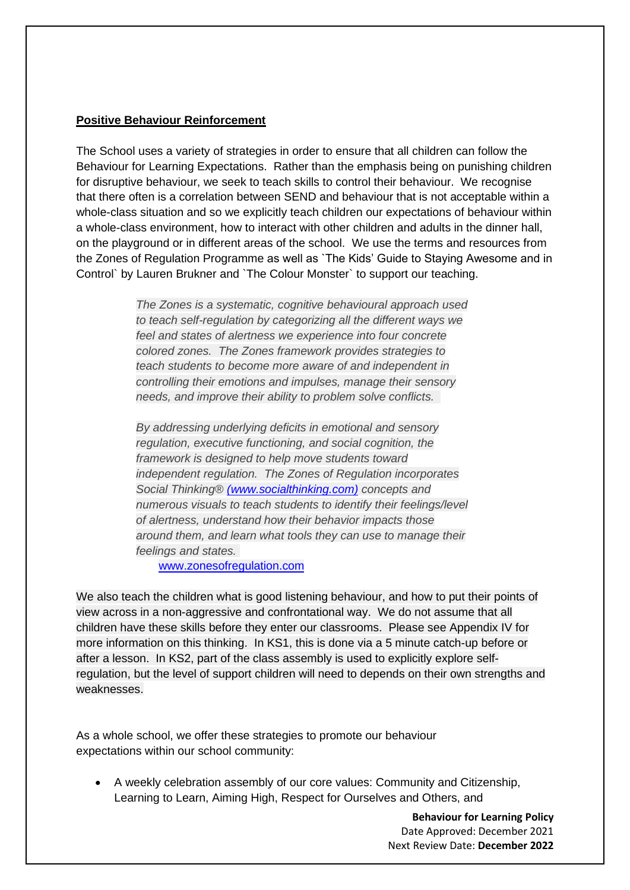#### **Positive Behaviour Reinforcement**

The School uses a variety of strategies in order to ensure that all children can follow the Behaviour for Learning Expectations. Rather than the emphasis being on punishing children for disruptive behaviour, we seek to teach skills to control their behaviour. We recognise that there often is a correlation between SEND and behaviour that is not acceptable within a whole-class situation and so we explicitly teach children our expectations of behaviour within a whole-class environment, how to interact with other children and adults in the dinner hall, on the playground or in different areas of the school. We use the terms and resources from the Zones of Regulation Programme as well as `The Kids' Guide to Staying Awesome and in Control` by Lauren Brukner and `The Colour Monster` to support our teaching.

> *The Zones is a systematic, cognitive behavioural approach used to teach self-regulation by categorizing all the different ways we feel and states of alertness we experience into four concrete colored zones. The Zones framework provides strategies to teach students to become more aware of and independent in controlling their emotions and impulses, manage their sensory needs, and improve their ability to problem solve conflicts.*

> *By addressing underlying deficits in emotional and sensory regulation, executive functioning, and social cognition, the framework is designed to help move students toward independent regulation. The Zones of Regulation incorporates Social Thinking® [\(](http://www.socialthinking.com/)[www.socialthinking.com](https://www.socialthinking.com/?utm_source=zonesofregulation.com&utm_medium=website&utm_campaign=landingpage_homepage)[\)](http://www.socialthinking.com/) concepts and numerous visuals to teach students to identify their feelings/level of alertness, understand how their behavior impacts those around them, and learn what tools they can use to manage their feelings and states.*

[www.zonesofregulation.com](http://www.zonesofregulation.com/)

We also teach the children what is good listening behaviour, and how to put their points of view across in a non-aggressive and confrontational way. We do not assume that all children have these skills before they enter our classrooms. Please see Appendix IV for more information on this thinking. In KS1, this is done via a 5 minute catch-up before or after a lesson. In KS2, part of the class assembly is used to explicitly explore selfregulation, but the level of support children will need to depends on their own strengths and weaknesses.

As a whole school, we offer these strategies to promote our behaviour expectations within our school community:

• A weekly celebration assembly of our core values: Community and Citizenship, Learning to Learn, Aiming High, Respect for Ourselves and Others, and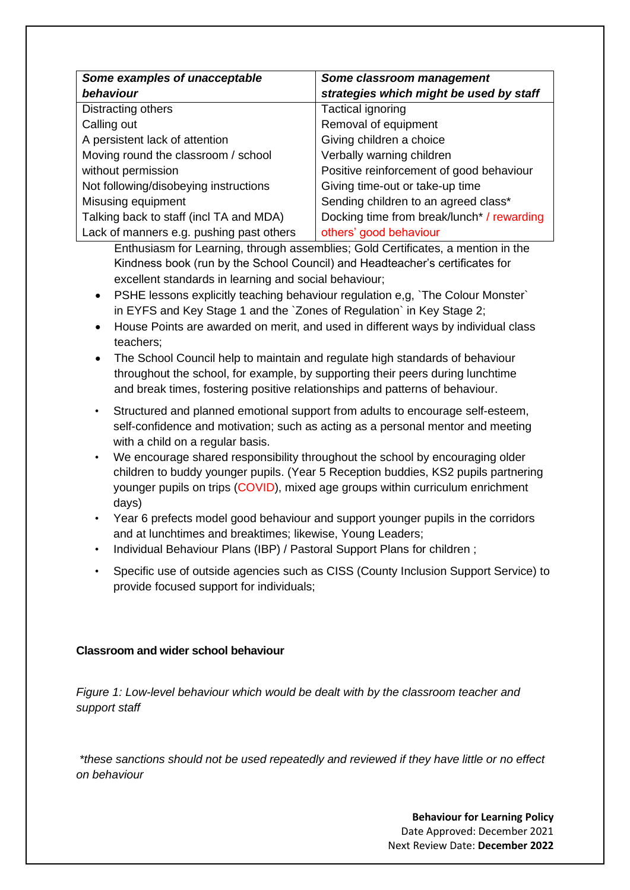| Some examples of unacceptable            | Some classroom management                  |
|------------------------------------------|--------------------------------------------|
| behaviour                                | strategies which might be used by staff    |
| Distracting others                       | Tactical ignoring                          |
| Calling out                              | Removal of equipment                       |
| A persistent lack of attention           | Giving children a choice                   |
| Moving round the classroom / school      | Verbally warning children                  |
| without permission                       | Positive reinforcement of good behaviour   |
| Not following/disobeying instructions    | Giving time-out or take-up time            |
| Misusing equipment                       | Sending children to an agreed class*       |
| Talking back to staff (incl TA and MDA)  | Docking time from break/lunch* / rewarding |
| Lack of manners e.g. pushing past others | others' good behaviour                     |

Enthusiasm for Learning, through assemblies; Gold Certificates, a mention in the Kindness book (run by the School Council) and Headteacher's certificates for excellent standards in learning and social behaviour;

- PSHE lessons explicitly teaching behaviour regulation e,g, `The Colour Monster` in EYFS and Key Stage 1 and the `Zones of Regulation` in Key Stage 2;
- House Points are awarded on merit, and used in different ways by individual class teachers;
- The School Council help to maintain and regulate high standards of behaviour throughout the school, for example, by supporting their peers during lunchtime and break times, fostering positive relationships and patterns of behaviour.
- Structured and planned emotional support from adults to encourage self-esteem, self-confidence and motivation; such as acting as a personal mentor and meeting with a child on a regular basis.
- We encourage shared responsibility throughout the school by encouraging older children to buddy younger pupils. (Year 5 Reception buddies, KS2 pupils partnering younger pupils on trips (COVID), mixed age groups within curriculum enrichment days)
- Year 6 prefects model good behaviour and support younger pupils in the corridors and at lunchtimes and breaktimes; likewise, Young Leaders;
- Individual Behaviour Plans (IBP) / Pastoral Support Plans for children ;
- Specific use of outside agencies such as CISS (County Inclusion Support Service) to provide focused support for individuals;

## **Classroom and wider school behaviour**

*Figure 1: Low-level behaviour which would be dealt with by the classroom teacher and support staff*

*\*these sanctions should not be used repeatedly and reviewed if they have little or no effect on behaviour*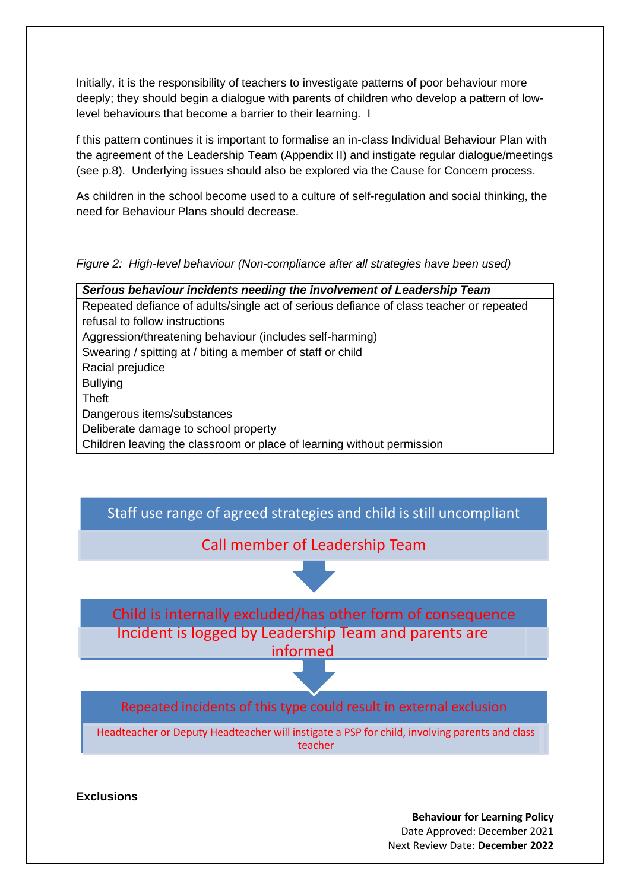Initially, it is the responsibility of teachers to investigate patterns of poor behaviour more deeply; they should begin a dialogue with parents of children who develop a pattern of lowlevel behaviours that become a barrier to their learning. I

f this pattern continues it is important to formalise an in-class Individual Behaviour Plan with the agreement of the Leadership Team (Appendix II) and instigate regular dialogue/meetings (see p.8). Underlying issues should also be explored via the Cause for Concern process.

As children in the school become used to a culture of self-regulation and social thinking, the need for Behaviour Plans should decrease.

*Figure 2: High-level behaviour (Non-compliance after all strategies have been used)*

*Serious behaviour incidents needing the involvement of Leadership Team* Repeated defiance of adults/single act of serious defiance of class teacher or repeated refusal to follow instructions Aggression/threatening behaviour (includes self-harming) Swearing / spitting at / biting a member of staff or child Racial prejudice Bullying Theft Dangerous items/substances Deliberate damage to school property Children leaving the classroom or place of learning without permission



**Exclusions**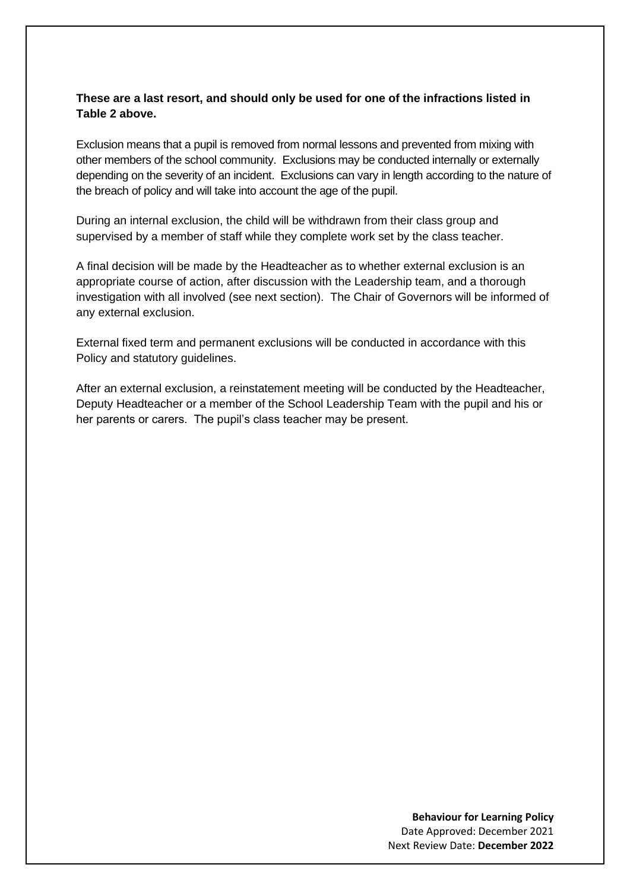#### **These are a last resort, and should only be used for one of the infractions listed in Table 2 above.**

Exclusion means that a pupil is removed from normal lessons and prevented from mixing with other members of the school community. Exclusions may be conducted internally or externally depending on the severity of an incident. Exclusions can vary in length according to the nature of the breach of policy and will take into account the age of the pupil.

During an internal exclusion, the child will be withdrawn from their class group and supervised by a member of staff while they complete work set by the class teacher.

A final decision will be made by the Headteacher as to whether external exclusion is an appropriate course of action, after discussion with the Leadership team, and a thorough investigation with all involved (see next section). The Chair of Governors will be informed of any external exclusion.

External fixed term and permanent exclusions will be conducted in accordance with this Policy and statutory guidelines.

After an external exclusion, a reinstatement meeting will be conducted by the Headteacher, Deputy Headteacher or a member of the School Leadership Team with the pupil and his or her parents or carers. The pupil's class teacher may be present.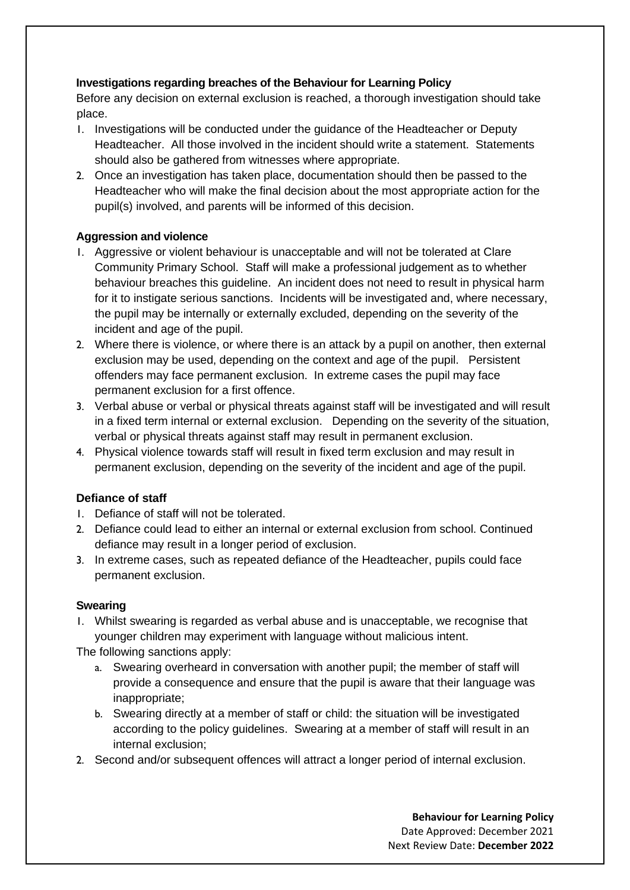## **Investigations regarding breaches of the Behaviour for Learning Policy**

Before any decision on external exclusion is reached, a thorough investigation should take place.

- 1. Investigations will be conducted under the guidance of the Headteacher or Deputy Headteacher. All those involved in the incident should write a statement. Statements should also be gathered from witnesses where appropriate.
- 2. Once an investigation has taken place, documentation should then be passed to the Headteacher who will make the final decision about the most appropriate action for the pupil(s) involved, and parents will be informed of this decision.

## **Aggression and violence**

- 1. Aggressive or violent behaviour is unacceptable and will not be tolerated at Clare Community Primary School. Staff will make a professional judgement as to whether behaviour breaches this guideline. An incident does not need to result in physical harm for it to instigate serious sanctions. Incidents will be investigated and, where necessary, the pupil may be internally or externally excluded, depending on the severity of the incident and age of the pupil.
- 2. Where there is violence, or where there is an attack by a pupil on another, then external exclusion may be used, depending on the context and age of the pupil. Persistent offenders may face permanent exclusion. In extreme cases the pupil may face permanent exclusion for a first offence.
- 3. Verbal abuse or verbal or physical threats against staff will be investigated and will result in a fixed term internal or external exclusion. Depending on the severity of the situation, verbal or physical threats against staff may result in permanent exclusion.
- 4. Physical violence towards staff will result in fixed term exclusion and may result in permanent exclusion, depending on the severity of the incident and age of the pupil.

## **Defiance of staff**

- 1. Defiance of staff will not be tolerated.
- 2. Defiance could lead to either an internal or external exclusion from school. Continued defiance may result in a longer period of exclusion.
- 3. In extreme cases, such as repeated defiance of the Headteacher, pupils could face permanent exclusion.

#### **Swearing**

1. Whilst swearing is regarded as verbal abuse and is unacceptable, we recognise that younger children may experiment with language without malicious intent.

The following sanctions apply:

- a. Swearing overheard in conversation with another pupil; the member of staff will provide a consequence and ensure that the pupil is aware that their language was inappropriate;
- b. Swearing directly at a member of staff or child: the situation will be investigated according to the policy guidelines. Swearing at a member of staff will result in an internal exclusion;
- 2. Second and/or subsequent offences will attract a longer period of internal exclusion.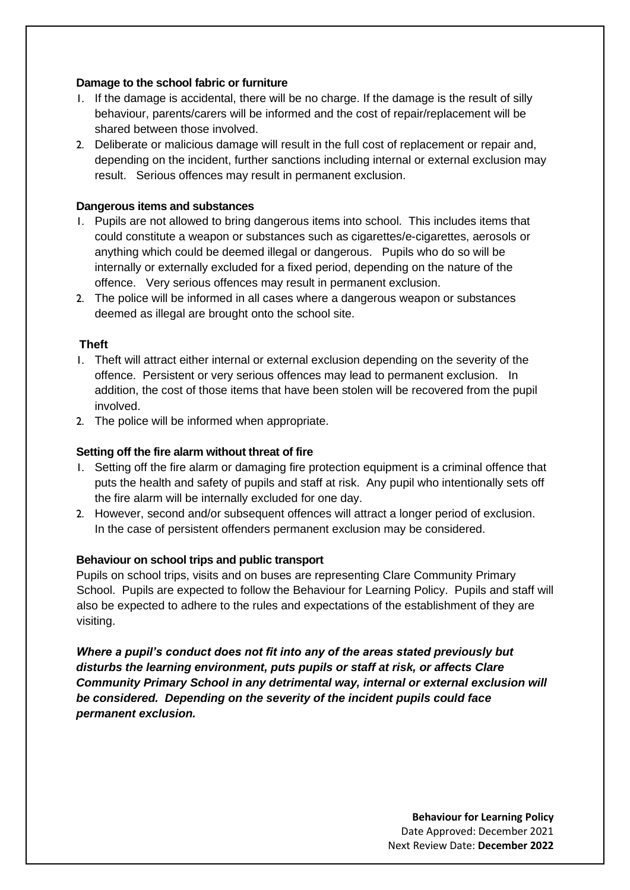#### **Damage to the school fabric or furniture**

- 1. If the damage is accidental, there will be no charge. If the damage is the result of silly behaviour, parents/carers will be informed and the cost of repair/replacement will be shared between those involved.
- 2. Deliberate or malicious damage will result in the full cost of replacement or repair and, depending on the incident, further sanctions including internal or external exclusion may result. Serious offences may result in permanent exclusion.

#### **Dangerous items and substances**

- 1. Pupils are not allowed to bring dangerous items into school. This includes items that could constitute a weapon or substances such as cigarettes/e-cigarettes, aerosols or anything which could be deemed illegal or dangerous. Pupils who do so will be internally or externally excluded for a fixed period, depending on the nature of the offence. Very serious offences may result in permanent exclusion.
- 2. The police will be informed in all cases where a dangerous weapon or substances deemed as illegal are brought onto the school site.

#### **Theft**

- 1. Theft will attract either internal or external exclusion depending on the severity of the offence. Persistent or very serious offences may lead to permanent exclusion. In addition, the cost of those items that have been stolen will be recovered from the pupil involved.
- 2. The police will be informed when appropriate.

#### **Setting off the fire alarm without threat of fire**

- 1. Setting off the fire alarm or damaging fire protection equipment is a criminal offence that puts the health and safety of pupils and staff at risk. Any pupil who intentionally sets off the fire alarm will be internally excluded for one day.
- 2. However, second and/or subsequent offences will attract a longer period of exclusion. In the case of persistent offenders permanent exclusion may be considered.

#### **Behaviour on school trips and public transport**

Pupils on school trips, visits and on buses are representing Clare Community Primary School. Pupils are expected to follow the Behaviour for Learning Policy. Pupils and staff will also be expected to adhere to the rules and expectations of the establishment of they are visiting.

*Where a pupil's conduct does not fit into any of the areas stated previously but disturbs the learning environment, puts pupils or staff at risk, or affects Clare Community Primary School in any detrimental way, internal or external exclusion will be considered. Depending on the severity of the incident pupils could face permanent exclusion.*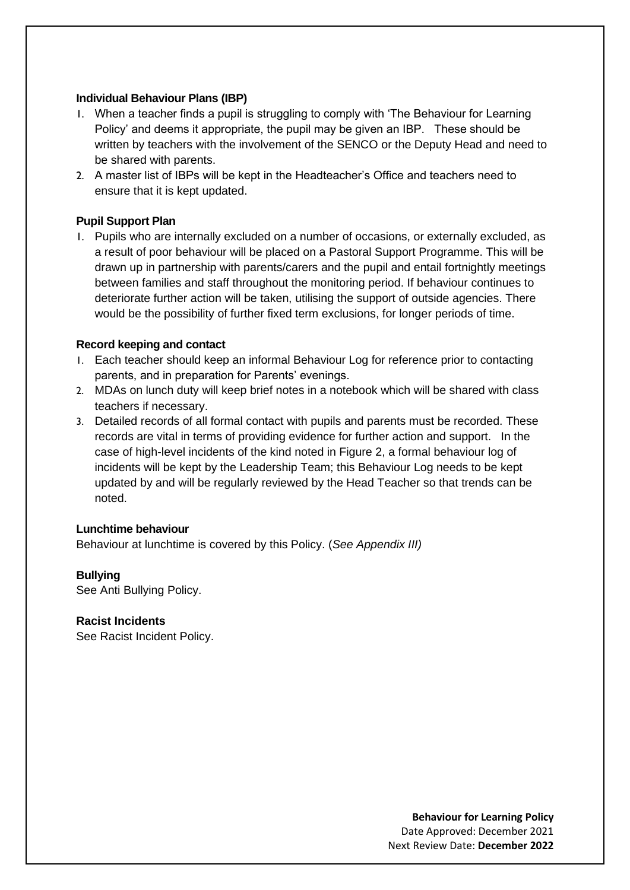#### **Individual Behaviour Plans (IBP)**

- 1. When a teacher finds a pupil is struggling to comply with 'The Behaviour for Learning Policy' and deems it appropriate, the pupil may be given an IBP. These should be written by teachers with the involvement of the SENCO or the Deputy Head and need to be shared with parents.
- 2. A master list of IBPs will be kept in the Headteacher's Office and teachers need to ensure that it is kept updated.

## **Pupil Support Plan**

1. Pupils who are internally excluded on a number of occasions, or externally excluded, as a result of poor behaviour will be placed on a Pastoral Support Programme. This will be drawn up in partnership with parents/carers and the pupil and entail fortnightly meetings between families and staff throughout the monitoring period. If behaviour continues to deteriorate further action will be taken, utilising the support of outside agencies. There would be the possibility of further fixed term exclusions, for longer periods of time.

#### **Record keeping and contact**

- 1. Each teacher should keep an informal Behaviour Log for reference prior to contacting parents, and in preparation for Parents' evenings.
- 2. MDAs on lunch duty will keep brief notes in a notebook which will be shared with class teachers if necessary.
- 3. Detailed records of all formal contact with pupils and parents must be recorded. These records are vital in terms of providing evidence for further action and support. In the case of high-level incidents of the kind noted in Figure 2, a formal behaviour log of incidents will be kept by the Leadership Team; this Behaviour Log needs to be kept updated by and will be regularly reviewed by the Head Teacher so that trends can be noted.

#### **Lunchtime behaviour**

Behaviour at lunchtime is covered by this Policy. (*See Appendix III)*

#### **Bullying**

See Anti Bullying Policy.

**Racist Incidents**  See Racist Incident Policy.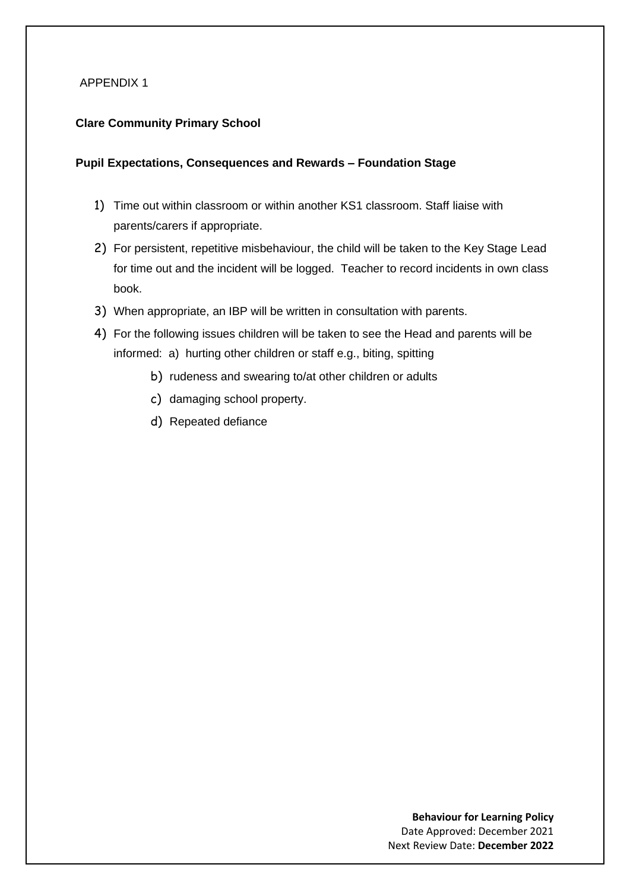#### APPENDIX 1

#### **Clare Community Primary School**

#### **Pupil Expectations, Consequences and Rewards – Foundation Stage**

- 1) Time out within classroom or within another KS1 classroom. Staff liaise with parents/carers if appropriate.
- 2) For persistent, repetitive misbehaviour, the child will be taken to the Key Stage Lead for time out and the incident will be logged. Teacher to record incidents in own class book.
- 3) When appropriate, an IBP will be written in consultation with parents.
- 4) For the following issues children will be taken to see the Head and parents will be informed: a) hurting other children or staff e.g., biting, spitting
	- b) rudeness and swearing to/at other children or adults
	- c) damaging school property.
	- d) Repeated defiance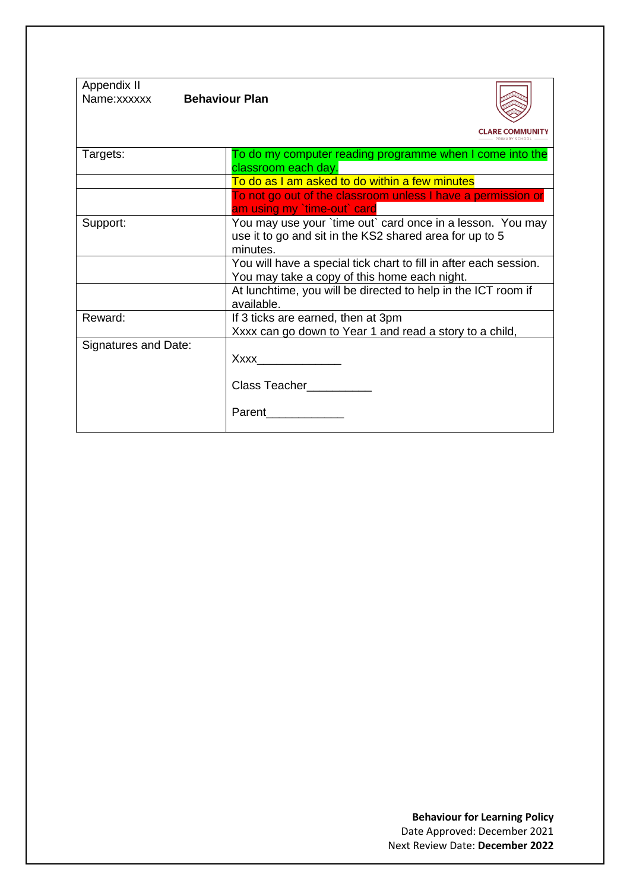| Appendix II<br>Name:xxxxxx | <b>Behaviour Plan</b>                                                                                                             |
|----------------------------|-----------------------------------------------------------------------------------------------------------------------------------|
|                            |                                                                                                                                   |
| Targets:                   | To do my computer reading programme when I come into the<br>classroom each day.                                                   |
|                            | To do as I am asked to do within a few minutes                                                                                    |
|                            | To not go out of the classroom unless I have a permission or<br>am using my `time-out` card                                       |
| Support:                   | You may use your `time out` card once in a lesson. You may<br>use it to go and sit in the KS2 shared area for up to 5<br>minutes. |
|                            | You will have a special tick chart to fill in after each session.<br>You may take a copy of this home each night.                 |
|                            | At lunchtime, you will be directed to help in the ICT room if<br>available.                                                       |
| Reward:                    | If 3 ticks are earned, then at 3pm<br>Xxxx can go down to Year 1 and read a story to a child,                                     |
| Signatures and Date:       | Xxxx and the state of the state of the state of the state of the state of the state of the state of the state o                   |
|                            | Class Teacher                                                                                                                     |
|                            | Parent                                                                                                                            |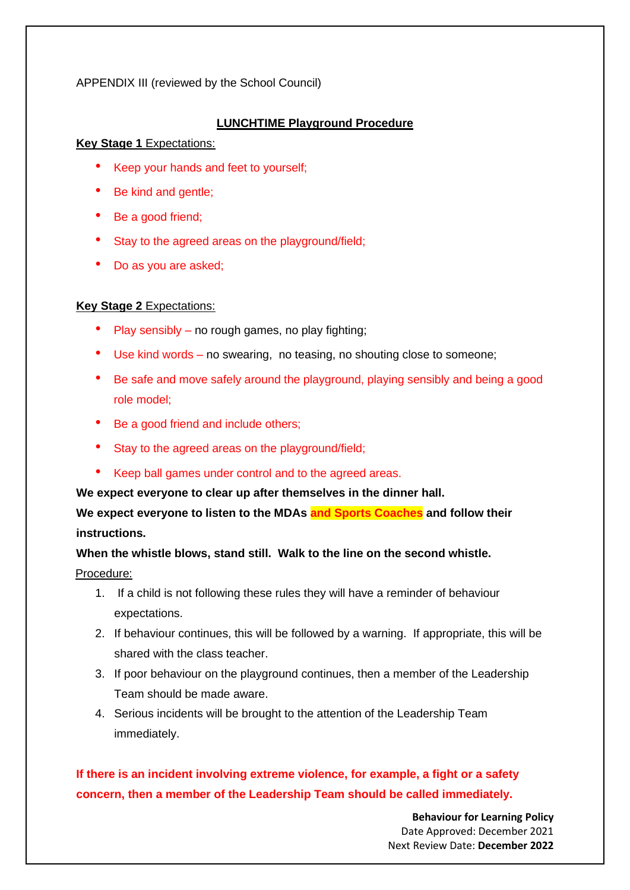APPENDIX III (reviewed by the School Council)

#### **LUNCHTIME Playground Procedure**

#### **Key Stage 1** Expectations:

- Keep your hands and feet to yourself;
- Be kind and gentle;
- Be a good friend;
- Stay to the agreed areas on the playground/field;
- Do as you are asked;

## **Key Stage 2** Expectations:

- Play sensibly no rough games, no play fighting;
- Use kind words no swearing, no teasing, no shouting close to someone;
- Be safe and move safely around the playground, playing sensibly and being a good role model;
- Be a good friend and include others;
- Stay to the agreed areas on the playground/field;
- Keep ball games under control and to the agreed areas.

**We expect everyone to clear up after themselves in the dinner hall.** 

**We expect everyone to listen to the MDAs and Sports Coaches and follow their instructions.**

**When the whistle blows, stand still. Walk to the line on the second whistle.**

## Procedure:

- 1. If a child is not following these rules they will have a reminder of behaviour expectations.
- 2. If behaviour continues, this will be followed by a warning. If appropriate, this will be shared with the class teacher.
- 3. If poor behaviour on the playground continues, then a member of the Leadership Team should be made aware.
- 4. Serious incidents will be brought to the attention of the Leadership Team immediately.

# **If there is an incident involving extreme violence, for example, a fight or a safety concern, then a member of the Leadership Team should be called immediately.**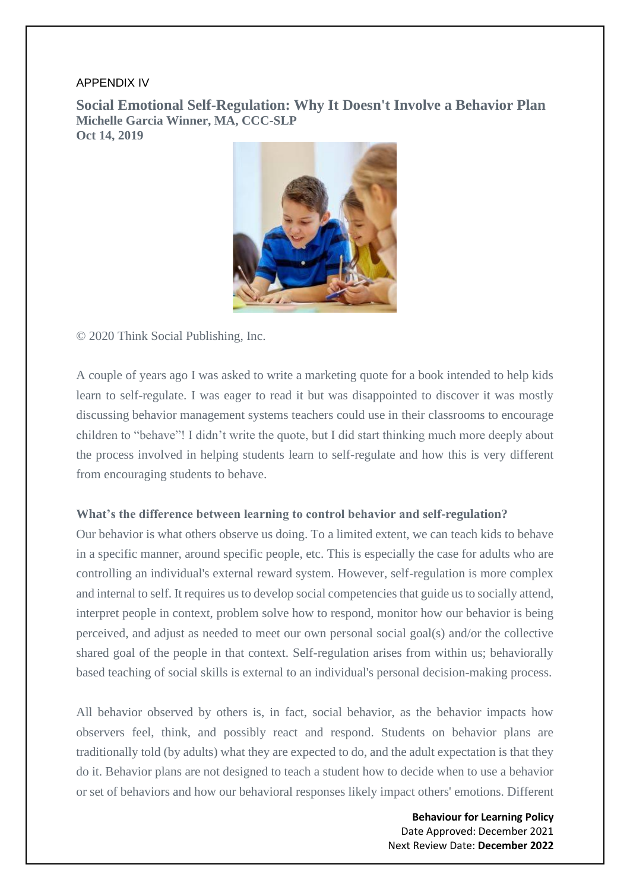#### APPENDIX IV

**Social Emotional Self-Regulation: Why It Doesn't Involve a Behavior Plan Michelle Garcia Winner, MA, CCC-SLP Oct 14, 2019**



© 2020 Think Social Publishing, Inc.

A couple of years ago I was asked to write a marketing quote for a book intended to help kids learn to self-regulate. I was eager to read it but was disappointed to discover it was mostly discussing behavior management systems teachers could use in their classrooms to encourage children to "behave"! I didn't write the quote, but I did start thinking much more deeply about the process involved in helping students learn to self-regulate and how this is very different from encouraging students to behave.

#### **What's the difference between learning to control behavior and self-regulation?**

Our behavior is what others observe us doing. To a limited extent, we can teach kids to behave in a specific manner, around specific people, etc. This is especially the case for adults who are controlling an individual's external reward system. However, self-regulation is more complex and internal to self. It requires us to develop social competencies that guide us to socially attend, interpret people in context, problem solve how to respond, monitor how our behavior is being perceived, and adjust as needed to meet our own personal social goal(s) and/or the collective shared goal of the people in that context. Self-regulation arises from within us; behaviorally based teaching of social skills is external to an individual's personal decision-making process.

All behavior observed by others is, in fact, social behavior, as the behavior impacts how observers feel, think, and possibly react and respond. Students on behavior plans are traditionally told (by adults) what they are expected to do, and the adult expectation is that they do it. Behavior plans are not designed to teach a student how to decide when to use a behavior or set of behaviors and how our behavioral responses likely impact others' emotions. Different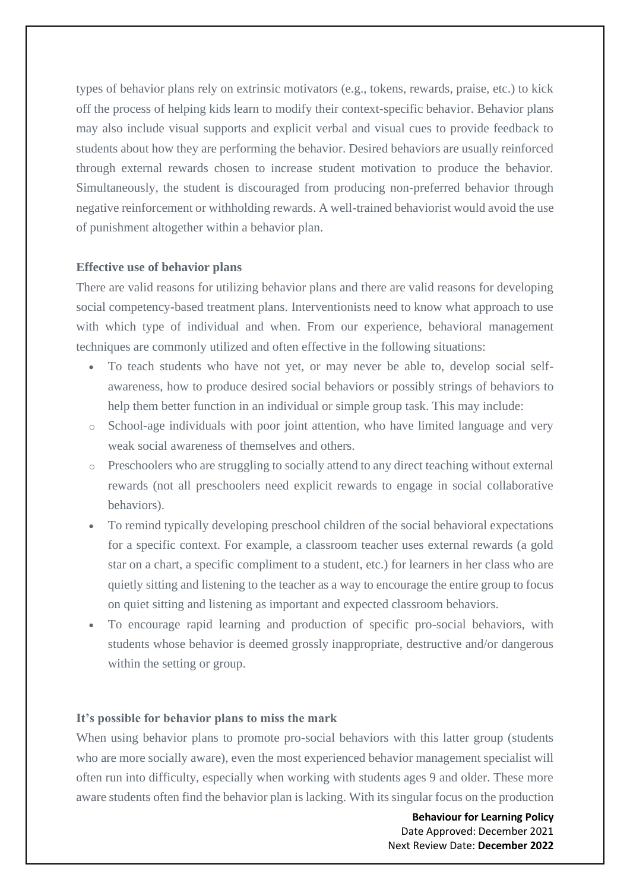types of behavior plans rely on extrinsic motivators (e.g., tokens, rewards, praise, etc.) to kick off the process of helping kids learn to modify their context-specific behavior. Behavior plans may also include visual supports and explicit verbal and visual cues to provide feedback to students about how they are performing the behavior. Desired behaviors are usually reinforced through external rewards chosen to increase student motivation to produce the behavior. Simultaneously, the student is discouraged from producing non-preferred behavior through negative reinforcement or withholding rewards. A well-trained behaviorist would avoid the use of punishment altogether within a behavior plan.

#### **Effective use of behavior plans**

There are valid reasons for utilizing behavior plans and there are valid reasons for developing social competency-based treatment plans. Interventionists need to know what approach to use with which type of individual and when. From our experience, behavioral management techniques are commonly utilized and often effective in the following situations:

- To teach students who have not yet, or may never be able to, develop social selfawareness, how to produce desired social behaviors or possibly strings of behaviors to help them better function in an individual or simple group task. This may include:
- o School-age individuals with poor joint attention, who have limited language and very weak social awareness of themselves and others.
- o Preschoolers who are struggling to socially attend to any direct teaching without external rewards (not all preschoolers need explicit rewards to engage in social collaborative behaviors).
- To remind typically developing preschool children of the social behavioral expectations for a specific context. For example, a classroom teacher uses external rewards (a gold star on a chart, a specific compliment to a student, etc.) for learners in her class who are quietly sitting and listening to the teacher as a way to encourage the entire group to focus on quiet sitting and listening as important and expected classroom behaviors.
- To encourage rapid learning and production of specific pro-social behaviors, with students whose behavior is deemed grossly inappropriate, destructive and/or dangerous within the setting or group.

#### **It's possible for behavior plans to miss the mark**

When using behavior plans to promote pro-social behaviors with this latter group (students who are more socially aware), even the most experienced behavior management specialist will often run into difficulty, especially when working with students ages 9 and older. These more aware students often find the behavior plan is lacking. With its singular focus on the production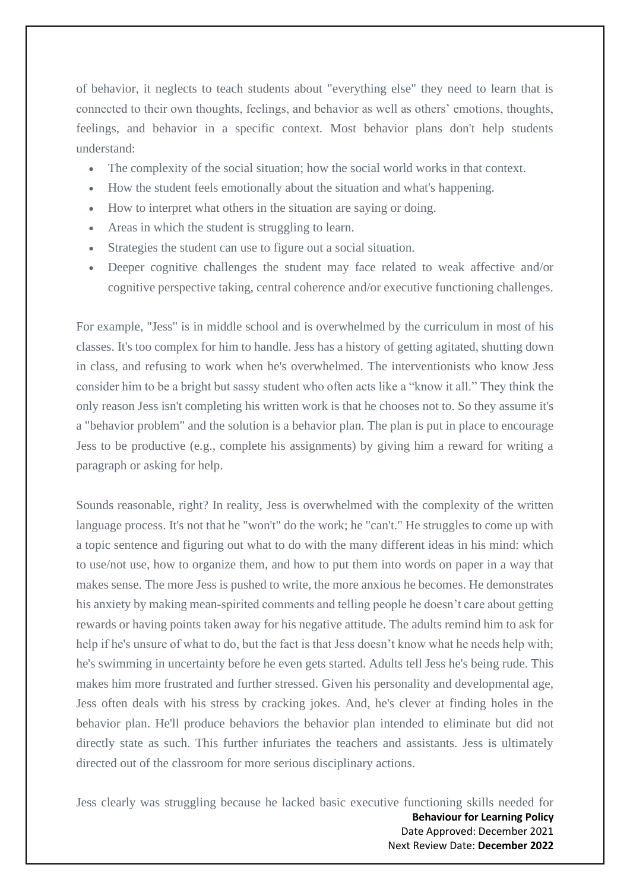of behavior, it neglects to teach students about "everything else" they need to learn that is connected to their own thoughts, feelings, and behavior as well as others' emotions, thoughts, feelings, and behavior in a specific context. Most behavior plans don't help students understand:

- The complexity of the social situation; how the social world works in that context.
- How the student feels emotionally about the situation and what's happening.
- How to interpret what others in the situation are saying or doing.
- Areas in which the student is struggling to learn.
- Strategies the student can use to figure out a social situation.
- Deeper cognitive challenges the student may face related to weak affective and/or cognitive perspective taking, central coherence and/or executive functioning challenges.

For example, "Jess" is in middle school and is overwhelmed by the curriculum in most of his classes. It's too complex for him to handle. Jess has a history of getting agitated, shutting down in class, and refusing to work when he's overwhelmed. The interventionists who know Jess consider him to be a bright but sassy student who often acts like a "know it all." They think the only reason Jess isn't completing his written work is that he chooses not to. So they assume it's a "behavior problem" and the solution is a behavior plan. The plan is put in place to encourage Jess to be productive (e.g., complete his assignments) by giving him a reward for writing a paragraph or asking for help.

Sounds reasonable, right? In reality, Jess is overwhelmed with the complexity of the written language process. It's not that he "won't" do the work; he "can't." He struggles to come up with a topic sentence and figuring out what to do with the many different ideas in his mind: which to use/not use, how to organize them, and how to put them into words on paper in a way that makes sense. The more Jess is pushed to write, the more anxious he becomes. He demonstrates his anxiety by making mean-spirited comments and telling people he doesn't care about getting rewards or having points taken away for his negative attitude. The adults remind him to ask for help if he's unsure of what to do, but the fact is that Jess doesn't know what he needs help with; he's swimming in uncertainty before he even gets started. Adults tell Jess he's being rude. This makes him more frustrated and further stressed. Given his personality and developmental age, Jess often deals with his stress by cracking jokes. And, he's clever at finding holes in the behavior plan. He'll produce behaviors the behavior plan intended to eliminate but did not directly state as such. This further infuriates the teachers and assistants. Jess is ultimately directed out of the classroom for more serious disciplinary actions.

**Behaviour for Learning Policy** Date Approved: December 2021 Next Review Date: **December 2022** Jess clearly was struggling because he lacked basic executive functioning skills needed for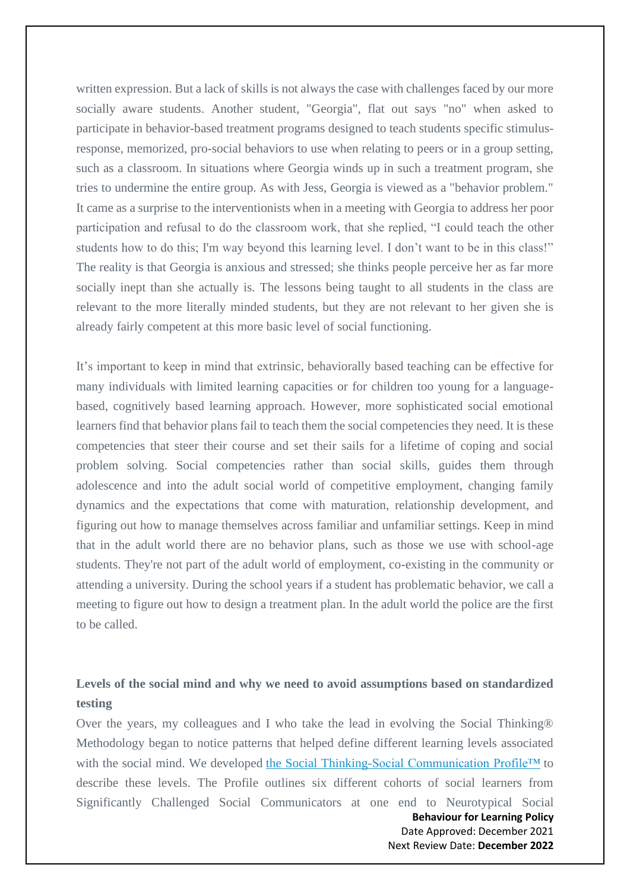written expression. But a lack of skills is not always the case with challenges faced by our more socially aware students. Another student, "Georgia", flat out says "no" when asked to participate in behavior-based treatment programs designed to teach students specific stimulusresponse, memorized, pro-social behaviors to use when relating to peers or in a group setting, such as a classroom. In situations where Georgia winds up in such a treatment program, she tries to undermine the entire group. As with Jess, Georgia is viewed as a "behavior problem." It came as a surprise to the interventionists when in a meeting with Georgia to address her poor participation and refusal to do the classroom work, that she replied, "I could teach the other students how to do this; I'm way beyond this learning level. I don't want to be in this class!" The reality is that Georgia is anxious and stressed; she thinks people perceive her as far more socially inept than she actually is. The lessons being taught to all students in the class are relevant to the more literally minded students, but they are not relevant to her given she is already fairly competent at this more basic level of social functioning.

It's important to keep in mind that extrinsic, behaviorally based teaching can be effective for many individuals with limited learning capacities or for children too young for a languagebased, cognitively based learning approach. However, more sophisticated social emotional learners find that behavior plans fail to teach them the social competencies they need. It is these competencies that steer their course and set their sails for a lifetime of coping and social problem solving. Social competencies rather than social skills, guides them through adolescence and into the adult social world of competitive employment, changing family dynamics and the expectations that come with maturation, relationship development, and figuring out how to manage themselves across familiar and unfamiliar settings. Keep in mind that in the adult world there are no behavior plans, such as those we use with school-age students. They're not part of the adult world of employment, co-existing in the community or attending a university. During the school years if a student has problematic behavior, we call a meeting to figure out how to design a treatment plan. In the adult world the police are the first to be called.

## **Levels of the social mind and why we need to avoid assumptions based on standardized testing**

Over the years, my colleagues and I who take the lead in evolving the Social Thinking® Methodology began to notice patterns that helped define different learning levels associated with the social mind. We developed [the Social Thinking-Social Communication Profile™](https://www.socialthinking.com/Articles?name=social-thinking-social-communication-profile) to describe these levels. The Profile outlines six different cohorts of social learners from Significantly Challenged Social Communicators at one end to Neurotypical Social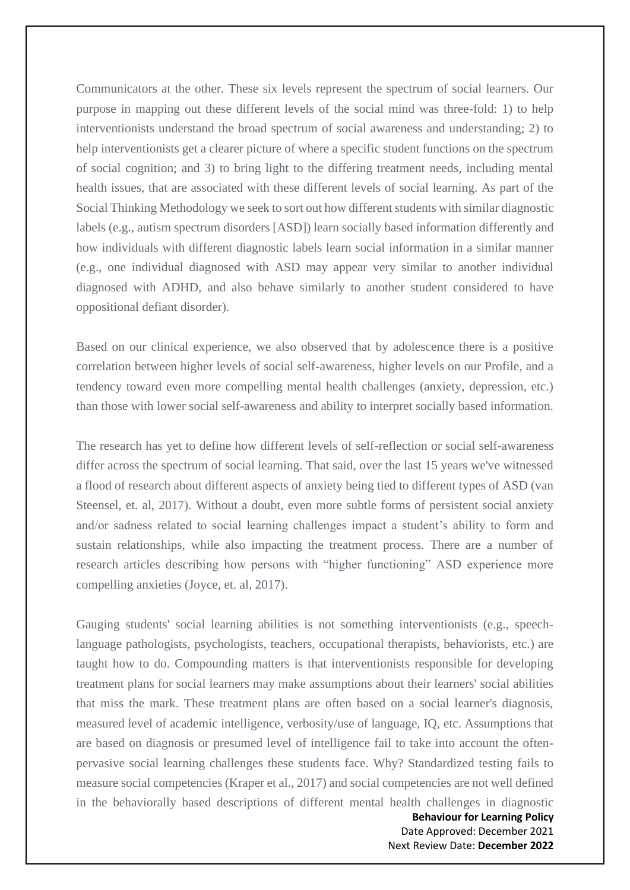Communicators at the other. These six levels represent the spectrum of social learners. Our purpose in mapping out these different levels of the social mind was three-fold: 1) to help interventionists understand the broad spectrum of social awareness and understanding; 2) to help interventionists get a clearer picture of where a specific student functions on the spectrum of social cognition; and 3) to bring light to the differing treatment needs, including mental health issues, that are associated with these different levels of social learning. As part of the Social Thinking Methodology we seek to sort out how different students with similar diagnostic labels (e.g., autism spectrum disorders [ASD]) learn socially based information differently and how individuals with different diagnostic labels learn social information in a similar manner (e.g., one individual diagnosed with ASD may appear very similar to another individual diagnosed with ADHD, and also behave similarly to another student considered to have oppositional defiant disorder).

Based on our clinical experience, we also observed that by adolescence there is a positive correlation between higher levels of social self-awareness, higher levels on our Profile, and a tendency toward even more compelling mental health challenges (anxiety, depression, etc.) than those with lower social self-awareness and ability to interpret socially based information.

The research has yet to define how different levels of self-reflection or social self-awareness differ across the spectrum of social learning. That said, over the last 15 years we've witnessed a flood of research about different aspects of anxiety being tied to different types of ASD (van Steensel, et. al, 2017). Without a doubt, even more subtle forms of persistent social anxiety and/or sadness related to social learning challenges impact a student's ability to form and sustain relationships, while also impacting the treatment process. There are a number of research articles describing how persons with "higher functioning" ASD experience more compelling anxieties (Joyce, et. al, 2017).

Gauging students' social learning abilities is not something interventionists (e.g., speechlanguage pathologists, psychologists, teachers, occupational therapists, behaviorists, etc.) are taught how to do. Compounding matters is that interventionists responsible for developing treatment plans for social learners may make assumptions about their learners' social abilities that miss the mark. These treatment plans are often based on a social learner's diagnosis, measured level of academic intelligence, verbosity/use of language, IQ, etc. Assumptions that are based on diagnosis or presumed level of intelligence fail to take into account the oftenpervasive social learning challenges these students face. Why? Standardized testing fails to measure social competencies (Kraper et al., 2017) and social competencies are not well defined in the behaviorally based descriptions of different mental health challenges in diagnostic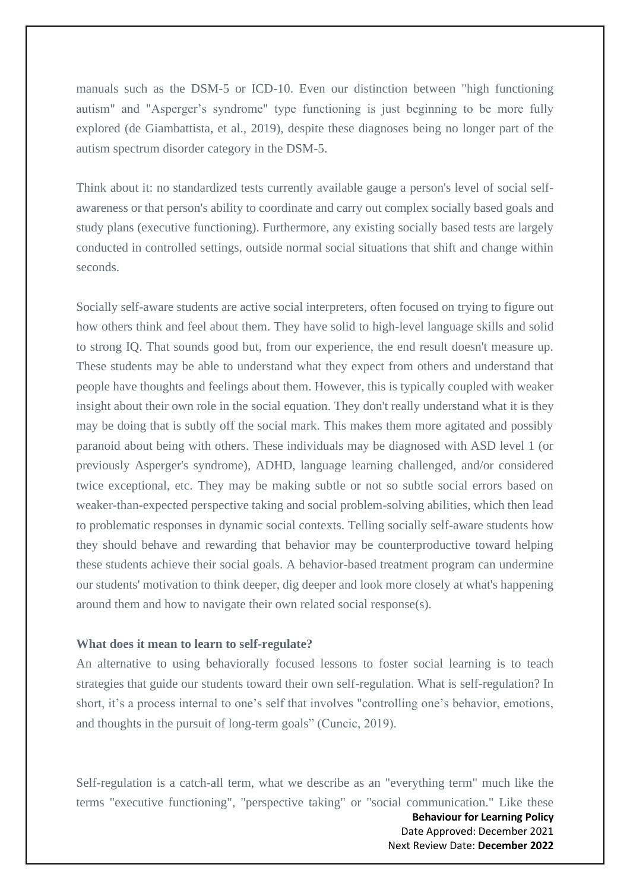manuals such as the DSM-5 or ICD-10. Even our distinction between "high functioning autism" and "Asperger's syndrome" type functioning is just beginning to be more fully explored (de Giambattista, et al., 2019), despite these diagnoses being no longer part of the autism spectrum disorder category in the DSM-5.

Think about it: no standardized tests currently available gauge a person's level of social selfawareness or that person's ability to coordinate and carry out complex socially based goals and study plans (executive functioning). Furthermore, any existing socially based tests are largely conducted in controlled settings, outside normal social situations that shift and change within seconds.

Socially self-aware students are active social interpreters, often focused on trying to figure out how others think and feel about them. They have solid to high-level language skills and solid to strong IQ. That sounds good but, from our experience, the end result doesn't measure up. These students may be able to understand what they expect from others and understand that people have thoughts and feelings about them. However, this is typically coupled with weaker insight about their own role in the social equation. They don't really understand what it is they may be doing that is subtly off the social mark. This makes them more agitated and possibly paranoid about being with others. These individuals may be diagnosed with ASD level 1 (or previously Asperger's syndrome), ADHD, language learning challenged, and/or considered twice exceptional, etc. They may be making subtle or not so subtle social errors based on weaker-than-expected perspective taking and social problem-solving abilities, which then lead to problematic responses in dynamic social contexts. Telling socially self-aware students how they should behave and rewarding that behavior may be counterproductive toward helping these students achieve their social goals. A behavior-based treatment program can undermine our students' motivation to think deeper, dig deeper and look more closely at what's happening around them and how to navigate their own related social response(s).

#### **What does it mean to learn to self-regulate?**

An alternative to using behaviorally focused lessons to foster social learning is to teach strategies that guide our students toward their own self-regulation. What is self-regulation? In short, it's a process internal to one's self that involves "controlling one's behavior, emotions, and thoughts in the pursuit of long-term goals" (Cuncic, 2019).

Self-regulation is a catch-all term, what we describe as an "everything term" much like the terms "executive functioning", "perspective taking" or "social communication." Like these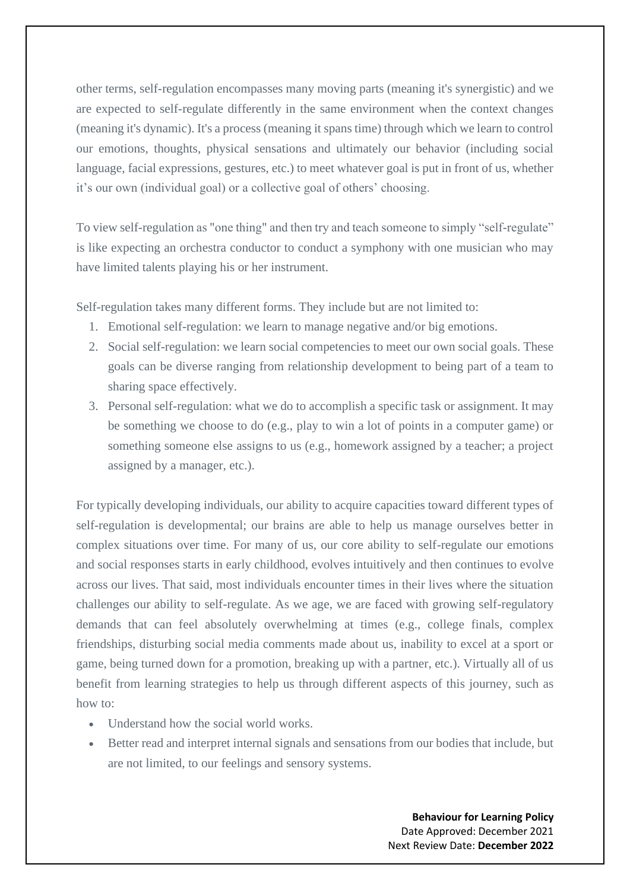other terms, self-regulation encompasses many moving parts (meaning it's synergistic) and we are expected to self-regulate differently in the same environment when the context changes (meaning it's dynamic). It's a process (meaning it spans time) through which we learn to control our emotions, thoughts, physical sensations and ultimately our behavior (including social language, facial expressions, gestures, etc.) to meet whatever goal is put in front of us, whether it's our own (individual goal) or a collective goal of others' choosing.

To view self-regulation as "one thing" and then try and teach someone to simply "self-regulate" is like expecting an orchestra conductor to conduct a symphony with one musician who may have limited talents playing his or her instrument.

Self-regulation takes many different forms. They include but are not limited to:

- 1. Emotional self-regulation: we learn to manage negative and/or big emotions.
- 2. Social self-regulation: we learn social competencies to meet our own social goals. These goals can be diverse ranging from relationship development to being part of a team to sharing space effectively.
- 3. Personal self-regulation: what we do to accomplish a specific task or assignment. It may be something we choose to do (e.g., play to win a lot of points in a computer game) or something someone else assigns to us (e.g., homework assigned by a teacher; a project assigned by a manager, etc.).

For typically developing individuals, our ability to acquire capacities toward different types of self-regulation is developmental; our brains are able to help us manage ourselves better in complex situations over time. For many of us, our core ability to self-regulate our emotions and social responses starts in early childhood, evolves intuitively and then continues to evolve across our lives. That said, most individuals encounter times in their lives where the situation challenges our ability to self-regulate. As we age, we are faced with growing self-regulatory demands that can feel absolutely overwhelming at times (e.g., college finals, complex friendships, disturbing social media comments made about us, inability to excel at a sport or game, being turned down for a promotion, breaking up with a partner, etc.). Virtually all of us benefit from learning strategies to help us through different aspects of this journey, such as how to:

- Understand how the social world works.
- Better read and interpret internal signals and sensations from our bodies that include, but are not limited, to our feelings and sensory systems.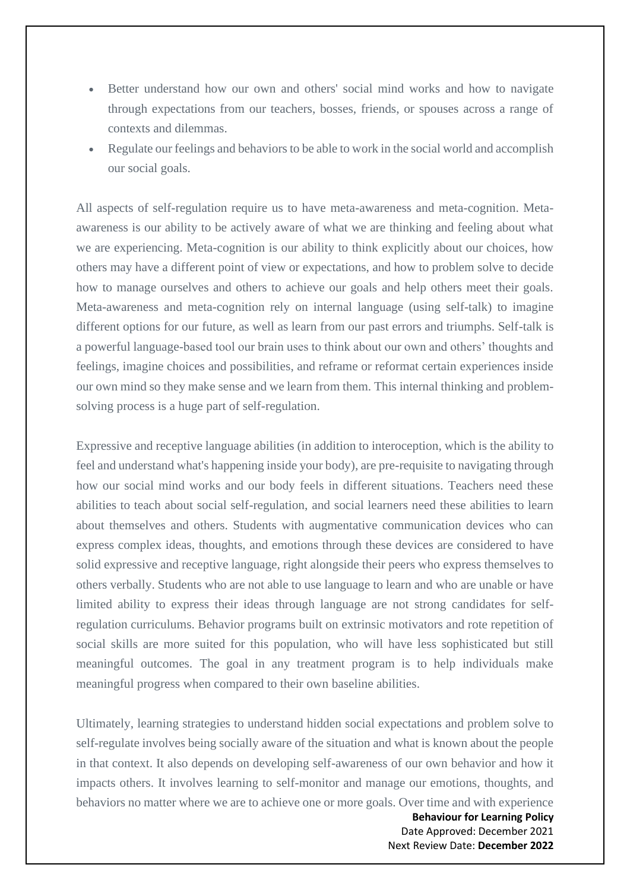- Better understand how our own and others' social mind works and how to navigate through expectations from our teachers, bosses, friends, or spouses across a range of contexts and dilemmas.
- Regulate our feelings and behaviors to be able to work in the social world and accomplish our social goals.

All aspects of self-regulation require us to have meta-awareness and meta-cognition. Metaawareness is our ability to be actively aware of what we are thinking and feeling about what we are experiencing. Meta-cognition is our ability to think explicitly about our choices, how others may have a different point of view or expectations, and how to problem solve to decide how to manage ourselves and others to achieve our goals and help others meet their goals. Meta-awareness and meta-cognition rely on internal language (using self-talk) to imagine different options for our future, as well as learn from our past errors and triumphs. Self-talk is a powerful language-based tool our brain uses to think about our own and others' thoughts and feelings, imagine choices and possibilities, and reframe or reformat certain experiences inside our own mind so they make sense and we learn from them. This internal thinking and problemsolving process is a huge part of self-regulation.

Expressive and receptive language abilities (in addition to interoception, which is the ability to feel and understand what's happening inside your body), are pre-requisite to navigating through how our social mind works and our body feels in different situations. Teachers need these abilities to teach about social self-regulation, and social learners need these abilities to learn about themselves and others. Students with augmentative communication devices who can express complex ideas, thoughts, and emotions through these devices are considered to have solid expressive and receptive language, right alongside their peers who express themselves to others verbally. Students who are not able to use language to learn and who are unable or have limited ability to express their ideas through language are not strong candidates for selfregulation curriculums. Behavior programs built on extrinsic motivators and rote repetition of social skills are more suited for this population, who will have less sophisticated but still meaningful outcomes. The goal in any treatment program is to help individuals make meaningful progress when compared to their own baseline abilities.

Ultimately, learning strategies to understand hidden social expectations and problem solve to self-regulate involves being socially aware of the situation and what is known about the people in that context. It also depends on developing self-awareness of our own behavior and how it impacts others. It involves learning to self-monitor and manage our emotions, thoughts, and behaviors no matter where we are to achieve one or more goals. Over time and with experience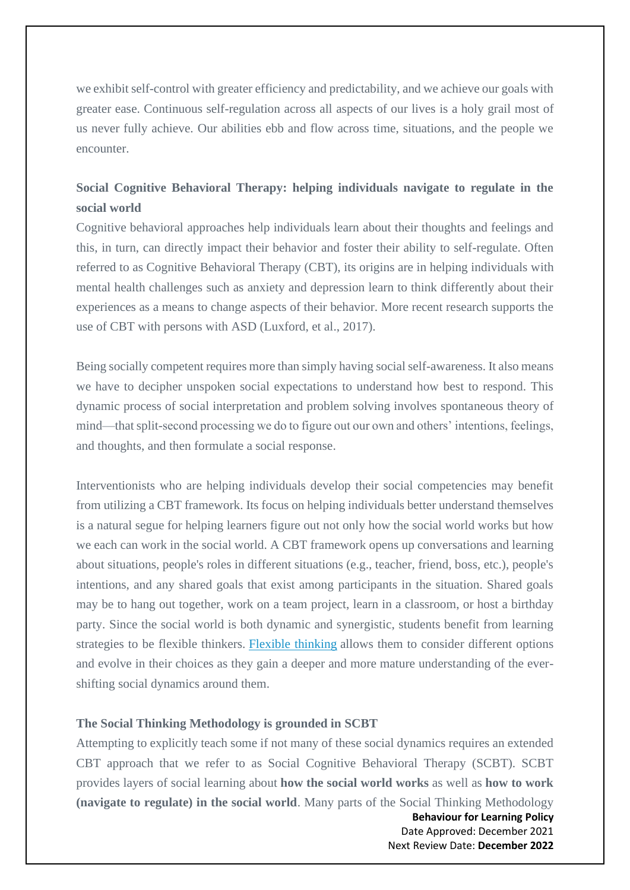we exhibit self-control with greater efficiency and predictability, and we achieve our goals with greater ease. Continuous self-regulation across all aspects of our lives is a holy grail most of us never fully achieve. Our abilities ebb and flow across time, situations, and the people we encounter.

## **Social Cognitive Behavioral Therapy: helping individuals navigate to regulate in the social world**

Cognitive behavioral approaches help individuals learn about their thoughts and feelings and this, in turn, can directly impact their behavior and foster their ability to self-regulate. Often referred to as Cognitive Behavioral Therapy (CBT), its origins are in helping individuals with mental health challenges such as anxiety and depression learn to think differently about their experiences as a means to change aspects of their behavior. More recent research supports the use of CBT with persons with ASD (Luxford, et al., 2017).

Being socially competent requires more than simply having social self-awareness. It also means we have to decipher unspoken social expectations to understand how best to respond. This dynamic process of social interpretation and problem solving involves spontaneous theory of mind—that split-second processing we do to figure out our own and others' intentions, feelings, and thoughts, and then formulate a social response.

Interventionists who are helping individuals develop their social competencies may benefit from utilizing a CBT framework. Its focus on helping individuals better understand themselves is a natural segue for helping learners figure out not only how the social world works but how we each can work in the social world. A CBT framework opens up conversations and learning about situations, people's roles in different situations (e.g., teacher, friend, boss, etc.), people's intentions, and any shared goals that exist among participants in the situation. Shared goals may be to hang out together, work on a team project, learn in a classroom, or host a birthday party. Since the social world is both dynamic and synergistic, students benefit from learning strategies to be flexible thinkers. [Flexible thinking](https://www.socialthinking.com/online-training/on-demand/webinar-core-concept-flexible-thinking) allows them to consider different options and evolve in their choices as they gain a deeper and more mature understanding of the evershifting social dynamics around them.

#### **The Social Thinking Methodology is grounded in SCBT**

Attempting to explicitly teach some if not many of these social dynamics requires an extended CBT approach that we refer to as Social Cognitive Behavioral Therapy (SCBT). SCBT provides layers of social learning about **how the social world works** as well as **how to work (navigate to regulate) in the social world**. Many parts of the Social Thinking Methodology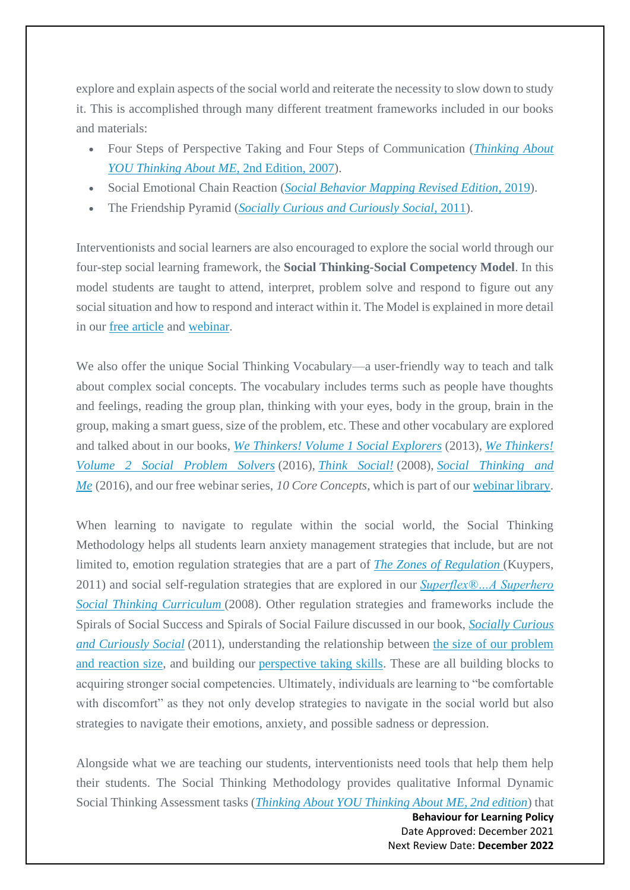explore and explain aspects of the social world and reiterate the necessity to slow down to study it. This is accomplished through many different treatment frameworks included in our books and materials:

- Four Steps of Perspective Taking and Four Steps of Communication (*[Thinking About](https://www.socialthinking.com/Products/thinking-about-you-thinking-about-me-2nd-edition)  [YOU Thinking About ME](https://www.socialthinking.com/Products/thinking-about-you-thinking-about-me-2nd-edition)*[, 2nd Edition, 2007\)](https://www.socialthinking.com/Products/thinking-about-you-thinking-about-me-2nd-edition).
- Social Emotional Chain Reaction (*[Social Behavior Mapping Revised Edition](https://www.socialthinking.com/Products/social-behavior-mapping-connecting-behavior-emotions-consequences)*[, 2019\)](https://www.socialthinking.com/Products/social-behavior-mapping-connecting-behavior-emotions-consequences).
- The Friendship Pyramid (*[Socially Curious and Curiously Social](https://www.socialthinking.com/Products/socially-curious-curiously-social-teens-young-adults)*[, 2011\)](https://www.socialthinking.com/Products/socially-curious-curiously-social-teens-young-adults).

Interventionists and social learners are also encouraged to explore the social world through our four-step social learning framework, the **Social Thinking-Social Competency Model**. In this model students are taught to attend, interpret, problem solve and respond to figure out any social situation and how to respond and interact within it. The Model is explained in more detail in our [free article](https://www.socialthinking.com/Articles?name=social-competency-model-attend-interpret-problem-solve-respond) and [webinar.](https://www.socialthinking.com/online-training/on-demand/webinar-social-competency-model)

We also offer the unique Social Thinking Vocabulary—a user-friendly way to teach and talk about complex social concepts. The vocabulary includes terms such as people have thoughts and feelings, reading the group plan, thinking with your eyes, body in the group, brain in the group, making a smart guess, size of the problem, etc. These and other vocabulary are explored and talked about in our books, *[We Thinkers! Volume 1 Social Explorers](https://www.socialthinking.com/Products/we-thinkers-volume-1-deluxe-package)* (2013), *[We Thinkers!](https://www.socialthinking.com/Products/we-thinkers-volume-2-deluxe-package)  [Volume 2 Social Problem Solvers](https://www.socialthinking.com/Products/we-thinkers-volume-2-deluxe-package)* (2016), *[Think Social!](https://www.socialthinking.com/Products/think-social-curriculum-for-school-age-students)* (2008), *[Social Thinking and](https://www.socialthinking.com/Products/social-thinking-and-me)  [Me](https://www.socialthinking.com/Products/social-thinking-and-me)* (2016), and our free webinar series, *10 Core Concepts*, which is part of our [webinar library.](https://www.socialthinking.com/online-training/free-webinars)

When learning to navigate to regulate within the social world, the Social Thinking Methodology helps all students learn anxiety management strategies that include, but are not limited to, emotion regulation strategies that are a part of *[The Zones of Regulation](https://www.socialthinking.com/Products/zones-of-regulation-curriculum)* (Kuypers, 2011) and social self-regulation strategies that are explored in our *[Superflex®…A Superhero](https://www.socialthinking.com/Products/superflex-superhero-social-thinking-curriculum)  [Social Thinking Curriculum](https://www.socialthinking.com/Products/superflex-superhero-social-thinking-curriculum)* (2008). Other regulation strategies and frameworks include the Spirals of Social Success and Spirals of Social Failure discussed in our book, *[Socially Curious](https://www.socialthinking.com/Products/socially-curious-curiously-social-teens-young-adults)  [and Curiously Social](https://www.socialthinking.com/Products/socially-curious-curiously-social-teens-young-adults)* (2011), understanding the relationship between [the size of our problem](https://www.socialthinking.com/Products/size-of-my-problem-poster)  [and reaction size,](https://www.socialthinking.com/Products/size-of-my-problem-poster) and building our [perspective taking skills.](https://www.socialthinking.com/Articles?name=social-behavior-starts-social-thought-perspective-taking) These are all building blocks to acquiring stronger social competencies. Ultimately, individuals are learning to "be comfortable with discomfort" as they not only develop strategies to navigate in the social world but also strategies to navigate their emotions, anxiety, and possible sadness or depression.

Alongside what we are teaching our students, interventionists need tools that help them help their students. The Social Thinking Methodology provides qualitative Informal Dynamic Social Thinking Assessment tasks (*[Thinking About YOU Thinking About ME, 2nd edition](https://www.socialthinking.com/Products/thinking-about-you-thinking-about-me-2nd-edition)*) that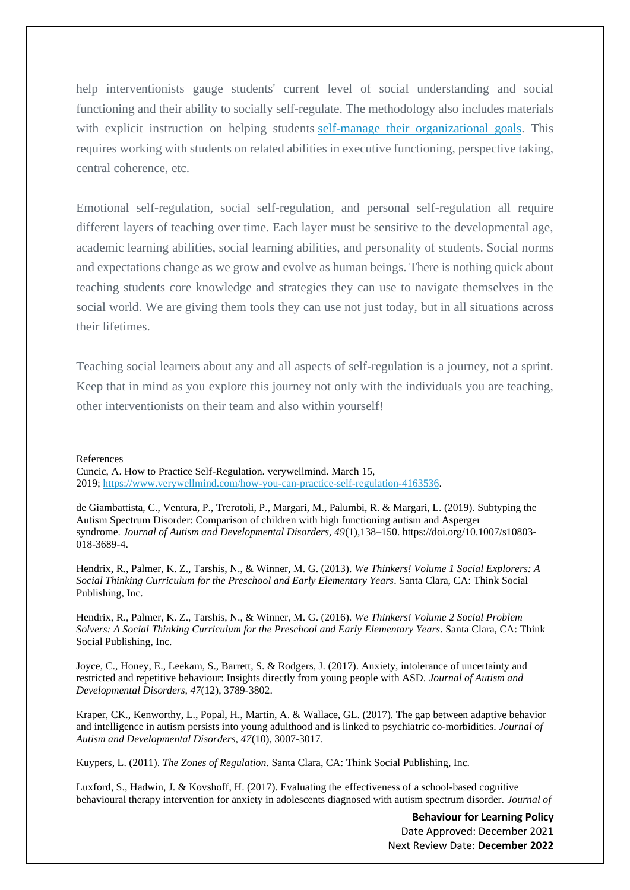help interventionists gauge students' current level of social understanding and social functioning and their ability to socially self-regulate. The methodology also includes materials with explicit instruction on helping students [self-manage their organizational goals.](https://www.socialthinking.com/online-training/on-demand/series/executive-functioning) This requires working with students on related abilities in executive functioning, perspective taking, central coherence, etc.

Emotional self-regulation, social self-regulation, and personal self-regulation all require different layers of teaching over time. Each layer must be sensitive to the developmental age, academic learning abilities, social learning abilities, and personality of students. Social norms and expectations change as we grow and evolve as human beings. There is nothing quick about teaching students core knowledge and strategies they can use to navigate themselves in the social world. We are giving them tools they can use not just today, but in all situations across their lifetimes.

Teaching social learners about any and all aspects of self-regulation is a journey, not a sprint. Keep that in mind as you explore this journey not only with the individuals you are teaching, other interventionists on their team and also within yourself!

#### References

Cuncic, A. How to Practice Self-Regulation. verywellmind. March 15, 2019; [https://www.verywellmind.com/how-you-can-practice-self-regulation-4163536.](https://www.verywellmind.com/how-you-can-practice-self-regulation-4163536)

de Giambattista, C., Ventura, P., Trerotoli, P., Margari, M., Palumbi, R. & Margari, L. (2019). Subtyping the Autism Spectrum Disorder: Comparison of children with high functioning autism and Asperger syndrome. *Journal of Autism and Developmental Disorders, 49*(1),138–150. https://doi.org/10.1007/s10803- 018-3689-4.

Hendrix, R., Palmer, K. Z., Tarshis, N., & Winner, M. G. (2013). *We Thinkers! Volume 1 Social Explorers: A Social Thinking Curriculum for the Preschool and Early Elementary Years*. Santa Clara, CA: Think Social Publishing, Inc.

Hendrix, R., Palmer, K. Z., Tarshis, N., & Winner, M. G. (2016). *We Thinkers! Volume 2 Social Problem Solvers: A Social Thinking Curriculum for the Preschool and Early Elementary Years*. Santa Clara, CA: Think Social Publishing, Inc.

Joyce, C., Honey, E., Leekam, S., Barrett, S. & Rodgers, J. (2017). Anxiety, intolerance of uncertainty and restricted and repetitive behaviour: Insights directly from young people with ASD. *Journal of Autism and Developmental Disorders, 47*(12), 3789-3802.

Kraper, CK., Kenworthy, L., Popal, H., Martin, A. & Wallace, GL. (2017). The gap between adaptive behavior and intelligence in autism persists into young adulthood and is linked to psychiatric co-morbidities. *Journal of Autism and Developmental Disorders, 47*(10), 3007-3017.

Kuypers, L. (2011). *The Zones of Regulation*. Santa Clara, CA: Think Social Publishing, Inc.

Luxford, S., Hadwin, J. & Kovshoff, H. (2017). Evaluating the effectiveness of a school-based cognitive behavioural therapy intervention for anxiety in adolescents diagnosed with autism spectrum disorder. *Journal of*